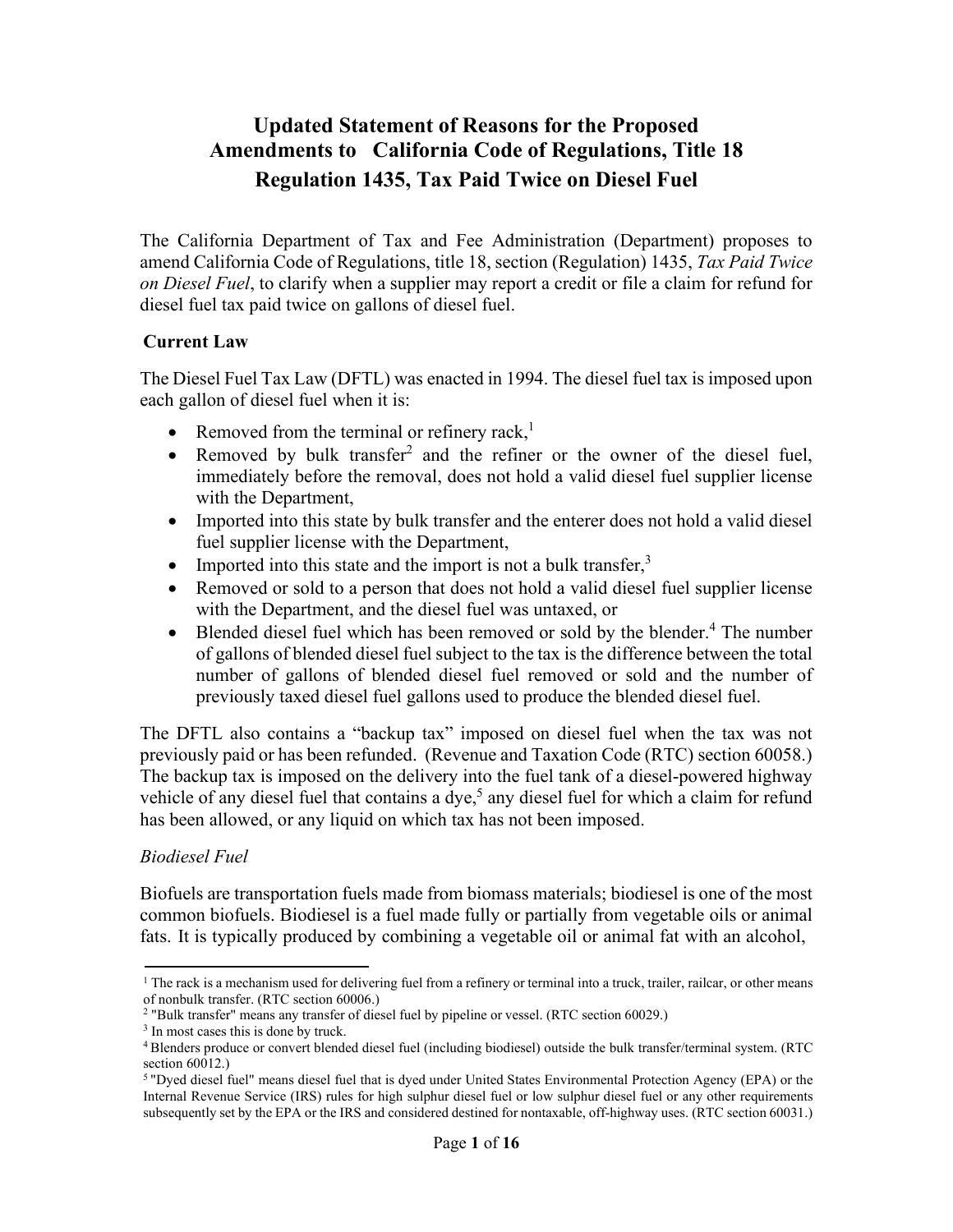# **Updated Statement of Reasons for the Proposed Amendments to California Code of Regulations, Title 18 Regulation 1435, Tax Paid Twice on Diesel Fuel**

The California Department of Tax and Fee Administration (Department) proposes to amend California Code of Regulations, title 18, section (Regulation) 1435, *Tax Paid Twice on Diesel Fuel*, to clarify when a supplier may report a credit or file a claim for refund for diesel fuel tax paid twice on gallons of diesel fuel.

### **Current Law**

The Diesel Fuel Tax Law (DFTL) was enacted in 1994. The diesel fuel tax is imposed upon each gallon of diesel fuel when it is:

- Removed from the terminal or refinery rack, $<sup>1</sup>$ </sup>
- Removed by bulk transfer<sup>2</sup> and the refiner or the owner of the diesel fuel, immediately before the removal, does not hold a valid diesel fuel supplier license with the Department,
- Imported into this state by bulk transfer and the enterer does not hold a valid diesel fuel supplier license with the Department,
- Imported into this state and the import is not a bulk transfer, $3$
- Removed or sold to a person that does not hold a valid diesel fuel supplier license with the Department, and the diesel fuel was untaxed, or
- Blended diesel fuel which has been removed or sold by the blender.<sup>4</sup> The number of gallons of blended diesel fuel subject to the tax is the difference between the total number of gallons of blended diesel fuel removed or sold and the number of previously taxed diesel fuel gallons used to produce the blended diesel fuel.

The DFTL also contains a "backup tax" imposed on diesel fuel when the tax was not previously paid or has been refunded. (Revenue and Taxation Code (RTC) section 60058.) The backup tax is imposed on the delivery into the fuel tank of a diesel-powered highway vehicle of any diesel fuel that contains a dye,<sup>5</sup> any diesel fuel for which a claim for refund has been allowed, or any liquid on which tax has not been imposed.

# *Biodiesel Fuel*

Biofuels are transportation fuels made from biomass materials; biodiesel is one of the most common biofuels. Biodiesel is a fuel made fully or partially from vegetable oils or animal fats. It is typically produced by combining a vegetable oil or animal fat with an alcohol,

<sup>&</sup>lt;sup>1</sup> The rack is a mechanism used for delivering fuel from a refinery or terminal into a truck, trailer, railcar, or other means of nonbulk transfer. (RTC section 60006.)

<sup>2 &</sup>quot;Bulk transfer" means any transfer of diesel fuel by pipeline or vessel. (RTC section 60029.)

<sup>&</sup>lt;sup>3</sup> In most cases this is done by truck.

<sup>4</sup> Blenders produce or convert blended diesel fuel (including biodiesel) outside the bulk transfer/terminal system. (RTC section 60012.)

<sup>5 &</sup>quot;Dyed diesel fuel" means diesel fuel that is dyed under United States Environmental Protection Agency (EPA) or the Internal Revenue Service (IRS) rules for high sulphur diesel fuel or low sulphur diesel fuel or any other requirements subsequently set by the EPA or the IRS and considered destined for nontaxable, off-highway uses. (RTC section 60031.)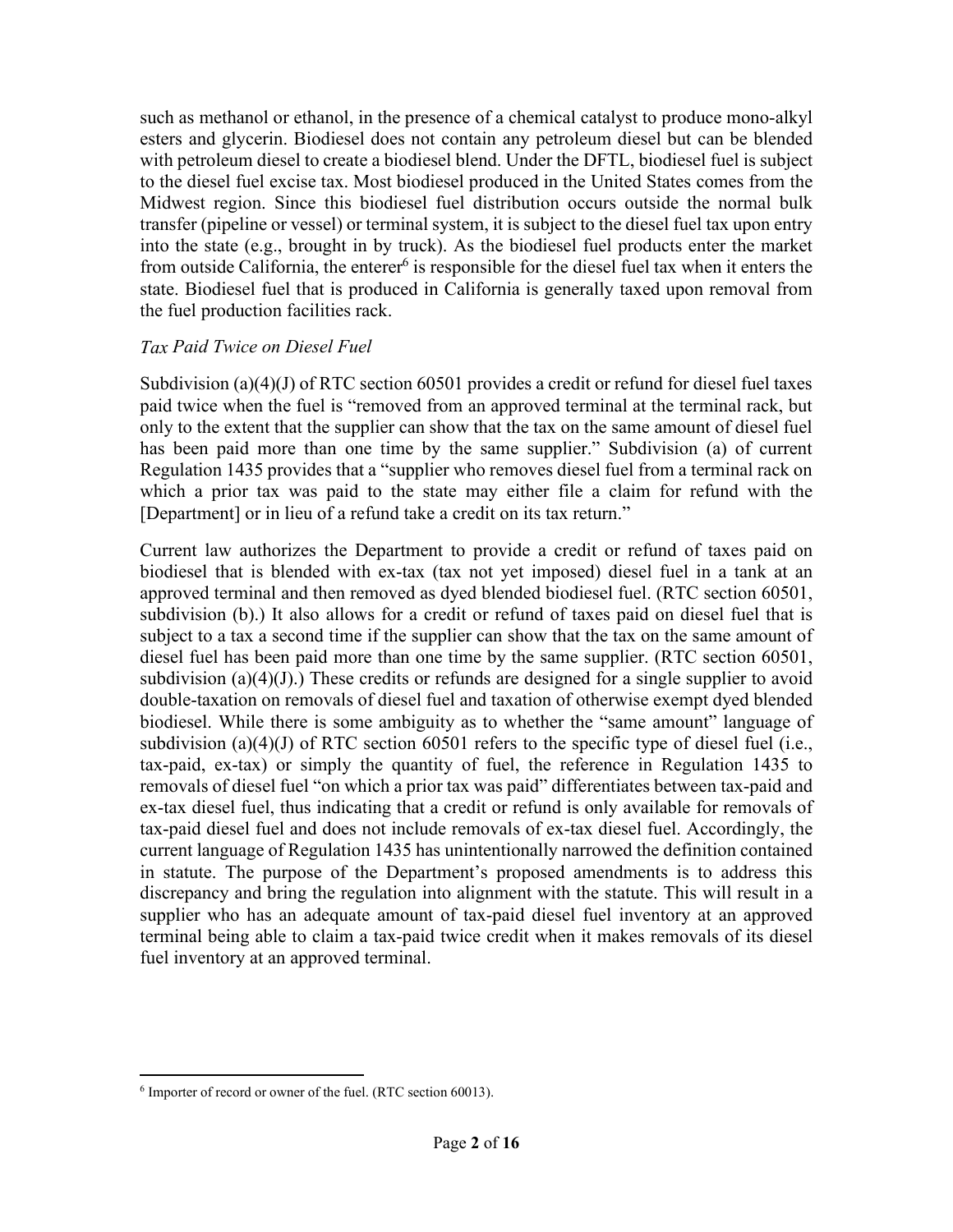such as methanol or ethanol, in the presence of a chemical catalyst to produce mono-alkyl esters and glycerin. Biodiesel does not contain any petroleum diesel but can be blended with petroleum diesel to create a biodiesel blend. Under the DFTL, biodiesel fuel is subject to the diesel fuel excise tax. Most biodiesel produced in the United States comes from the Midwest region. Since this biodiesel fuel distribution occurs outside the normal bulk transfer (pipeline or vessel) or terminal system, it is subject to the diesel fuel tax upon entry into the state (e.g., brought in by truck). As the biodiesel fuel products enter the market from outside California, the enterer  $6$  is responsible for the diesel fuel tax when it enters the state. Biodiesel fuel that is produced in California is generally taxed upon removal from the fuel production facilities rack.

### *Tax Paid Twice on Diesel Fuel*

Subdivision (a)(4)(J) of RTC section 60501 provides a credit or refund for diesel fuel taxes paid twice when the fuel is "removed from an approved terminal at the terminal rack, but only to the extent that the supplier can show that the tax on the same amount of diesel fuel has been paid more than one time by the same supplier." Subdivision (a) of current Regulation 1435 provides that a "supplier who removes diesel fuel from a terminal rack on which a prior tax was paid to the state may either file a claim for refund with the [Department] or in lieu of a refund take a credit on its tax return."

Current law authorizes the Department to provide a credit or refund of taxes paid on biodiesel that is blended with ex-tax (tax not yet imposed) diesel fuel in a tank at an approved terminal and then removed as dyed blended biodiesel fuel. (RTC section 60501, subdivision (b).) It also allows for a credit or refund of taxes paid on diesel fuel that is subject to a tax a second time if the supplier can show that the tax on the same amount of diesel fuel has been paid more than one time by the same supplier. (RTC section 60501, subdivision (a)(4)(J).) These credits or refunds are designed for a single supplier to avoid double-taxation on removals of diesel fuel and taxation of otherwise exempt dyed blended biodiesel. While there is some ambiguity as to whether the "same amount" language of subdivision (a)(4)(J) of RTC section 60501 refers to the specific type of diesel fuel (i.e., tax-paid, ex-tax) or simply the quantity of fuel, the reference in Regulation 1435 to removals of diesel fuel "on which a prior tax was paid" differentiates between tax-paid and ex-tax diesel fuel, thus indicating that a credit or refund is only available for removals of tax-paid diesel fuel and does not include removals of ex-tax diesel fuel. Accordingly, the current language of Regulation 1435 has unintentionally narrowed the definition contained in statute. The purpose of the Department's proposed amendments is to address this discrepancy and bring the regulation into alignment with the statute. This will result in a supplier who has an adequate amount of tax-paid diesel fuel inventory at an approved terminal being able to claim a tax-paid twice credit when it makes removals of its diesel fuel inventory at an approved terminal.

<sup>6</sup> Importer of record or owner of the fuel. (RTC section 60013).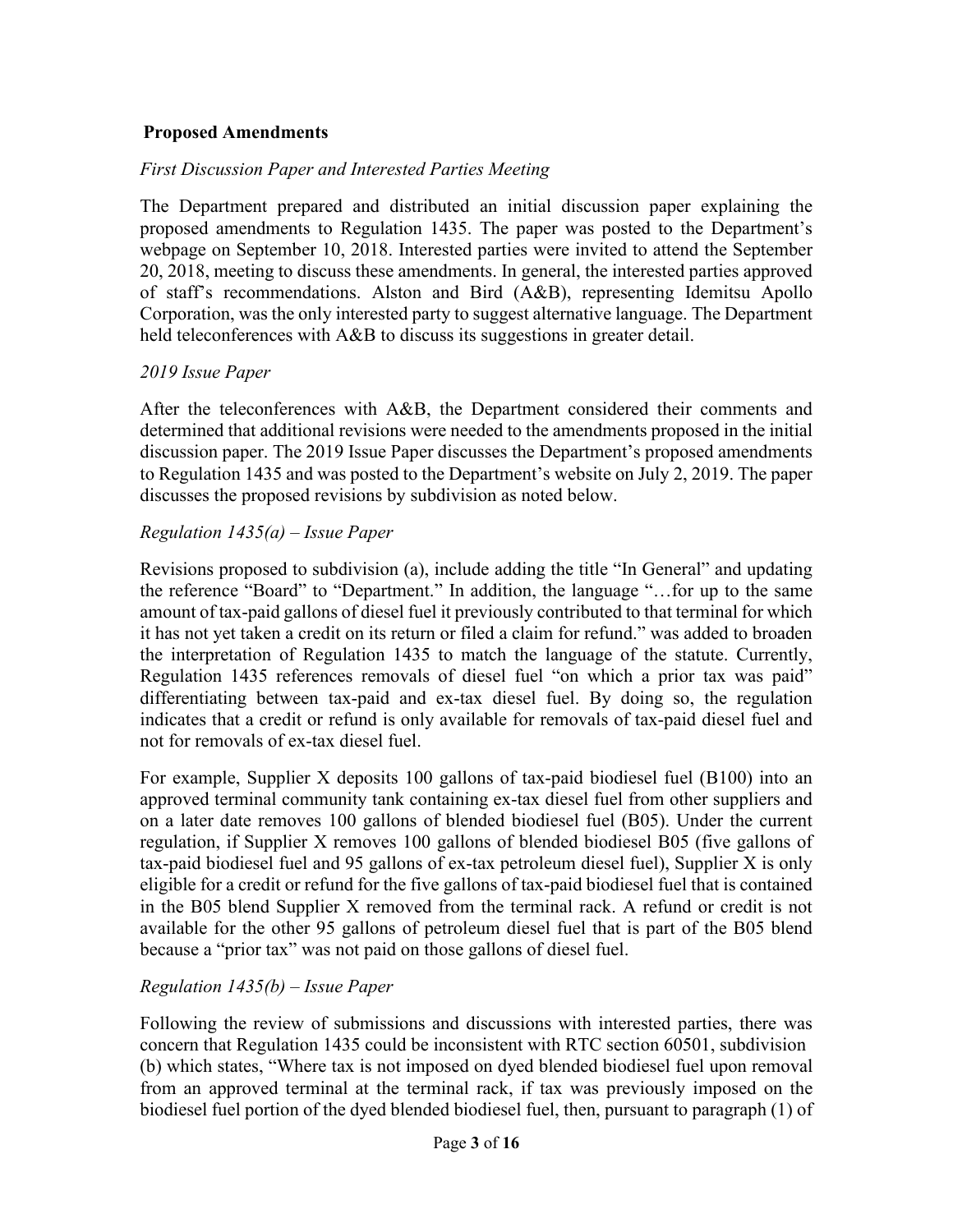### **Proposed Amendments**

### *First Discussion Paper and Interested Parties Meeting*

The Department prepared and distributed an initial discussion paper explaining the proposed amendments to Regulation 1435. The paper was posted to the Department's webpage on September 10, 2018. Interested parties were invited to attend the September 20, 2018, meeting to discuss these amendments. In general, the interested parties approved of staff's recommendations. Alston and Bird (A&B), representing Idemitsu Apollo Corporation, was the only interested party to suggest alternative language. The Department held teleconferences with A&B to discuss its suggestions in greater detail.

### *2019 Issue Paper*

After the teleconferences with A&B, the Department considered their comments and determined that additional revisions were needed to the amendments proposed in the initial discussion paper. The 2019 Issue Paper discusses the Department's proposed amendments to Regulation 1435 and was posted to the Department's website on July 2, 2019. The paper discusses the proposed revisions by subdivision as noted below.

### *Regulation 1435(a) – Issue Paper*

Revisions proposed to subdivision (a), include adding the title "In General" and updating the reference "Board" to "Department." In addition, the language "…for up to the same amount of tax-paid gallons of diesel fuel it previously contributed to that terminal for which it has not yet taken a credit on its return or filed a claim for refund." was added to broaden the interpretation of Regulation 1435 to match the language of the statute. Currently, Regulation 1435 references removals of diesel fuel "on which a prior tax was paid" differentiating between tax-paid and ex-tax diesel fuel. By doing so, the regulation indicates that a credit or refund is only available for removals of tax-paid diesel fuel and not for removals of ex-tax diesel fuel.

For example, Supplier X deposits 100 gallons of tax-paid biodiesel fuel (B100) into an approved terminal community tank containing ex-tax diesel fuel from other suppliers and on a later date removes 100 gallons of blended biodiesel fuel (B05). Under the current regulation, if Supplier X removes 100 gallons of blended biodiesel B05 (five gallons of tax-paid biodiesel fuel and 95 gallons of ex-tax petroleum diesel fuel), Supplier X is only eligible for a credit or refund for the five gallons of tax-paid biodiesel fuel that is contained in the B05 blend Supplier X removed from the terminal rack. A refund or credit is not available for the other 95 gallons of petroleum diesel fuel that is part of the B05 blend because a "prior tax" was not paid on those gallons of diesel fuel.

### *Regulation 1435(b) – Issue Paper*

Following the review of submissions and discussions with interested parties, there was concern that Regulation 1435 could be inconsistent with RTC section 60501, subdivision (b) which states, "Where tax is not imposed on dyed blended biodiesel fuel upon removal from an approved terminal at the terminal rack, if tax was previously imposed on the biodiesel fuel portion of the dyed blended biodiesel fuel, then, pursuant to paragraph (1) of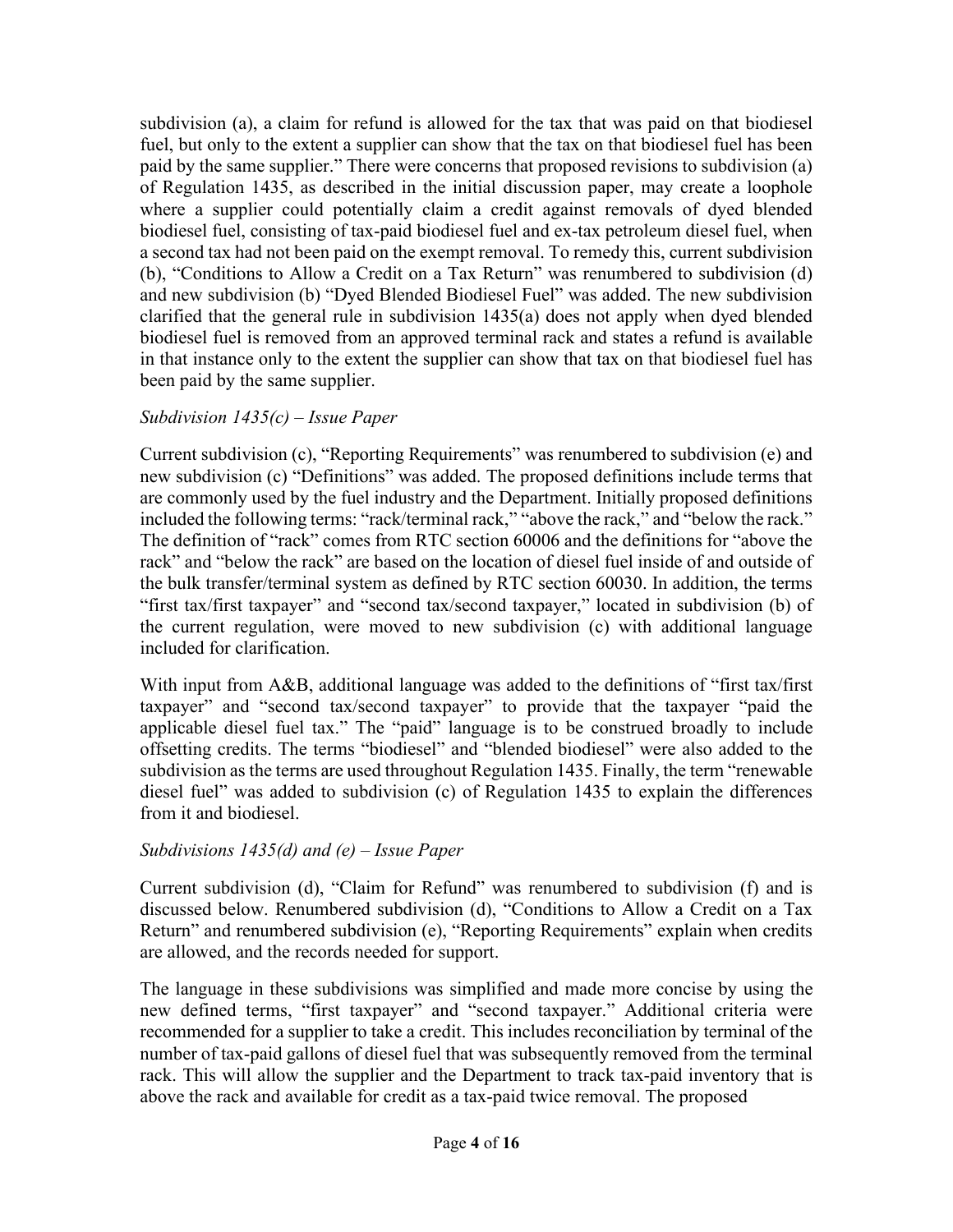subdivision (a), a claim for refund is allowed for the tax that was paid on that biodiesel fuel, but only to the extent a supplier can show that the tax on that biodiesel fuel has been paid by the same supplier." There were concerns that proposed revisions to subdivision (a) of Regulation 1435, as described in the initial discussion paper, may create a loophole where a supplier could potentially claim a credit against removals of dyed blended biodiesel fuel, consisting of tax-paid biodiesel fuel and ex-tax petroleum diesel fuel, when a second tax had not been paid on the exempt removal. To remedy this, current subdivision (b), "Conditions to Allow a Credit on a Tax Return" was renumbered to subdivision (d) and new subdivision (b) "Dyed Blended Biodiesel Fuel" was added. The new subdivision clarified that the general rule in subdivision 1435(a) does not apply when dyed blended biodiesel fuel is removed from an approved terminal rack and states a refund is available in that instance only to the extent the supplier can show that tax on that biodiesel fuel has been paid by the same supplier.

### *Subdivision 1435(c) – Issue Paper*

Current subdivision (c), "Reporting Requirements" was renumbered to subdivision (e) and new subdivision (c) "Definitions" was added. The proposed definitions include terms that are commonly used by the fuel industry and the Department. Initially proposed definitions included the following terms: "rack/terminal rack," "above the rack," and "below the rack." The definition of "rack" comes from RTC section 60006 and the definitions for "above the rack" and "below the rack" are based on the location of diesel fuel inside of and outside of the bulk transfer/terminal system as defined by RTC section 60030. In addition, the terms "first tax/first taxpayer" and "second tax/second taxpayer," located in subdivision (b) of the current regulation, were moved to new subdivision (c) with additional language included for clarification.

With input from A&B, additional language was added to the definitions of "first tax/first" taxpayer" and "second tax/second taxpayer" to provide that the taxpayer "paid the applicable diesel fuel tax." The "paid" language is to be construed broadly to include offsetting credits. The terms "biodiesel" and "blended biodiesel" were also added to the subdivision as the terms are used throughout Regulation 1435. Finally, the term "renewable diesel fuel" was added to subdivision (c) of Regulation 1435 to explain the differences from it and biodiesel.

### *Subdivisions 1435(d) and (e) – Issue Paper*

Current subdivision (d), "Claim for Refund" was renumbered to subdivision (f) and is discussed below. Renumbered subdivision (d), "Conditions to Allow a Credit on a Tax Return" and renumbered subdivision (e), "Reporting Requirements" explain when credits are allowed, and the records needed for support.

The language in these subdivisions was simplified and made more concise by using the new defined terms, "first taxpayer" and "second taxpayer." Additional criteria were recommended for a supplier to take a credit. This includes reconciliation by terminal of the number of tax-paid gallons of diesel fuel that was subsequently removed from the terminal rack. This will allow the supplier and the Department to track tax-paid inventory that is above the rack and available for credit as a tax-paid twice removal. The proposed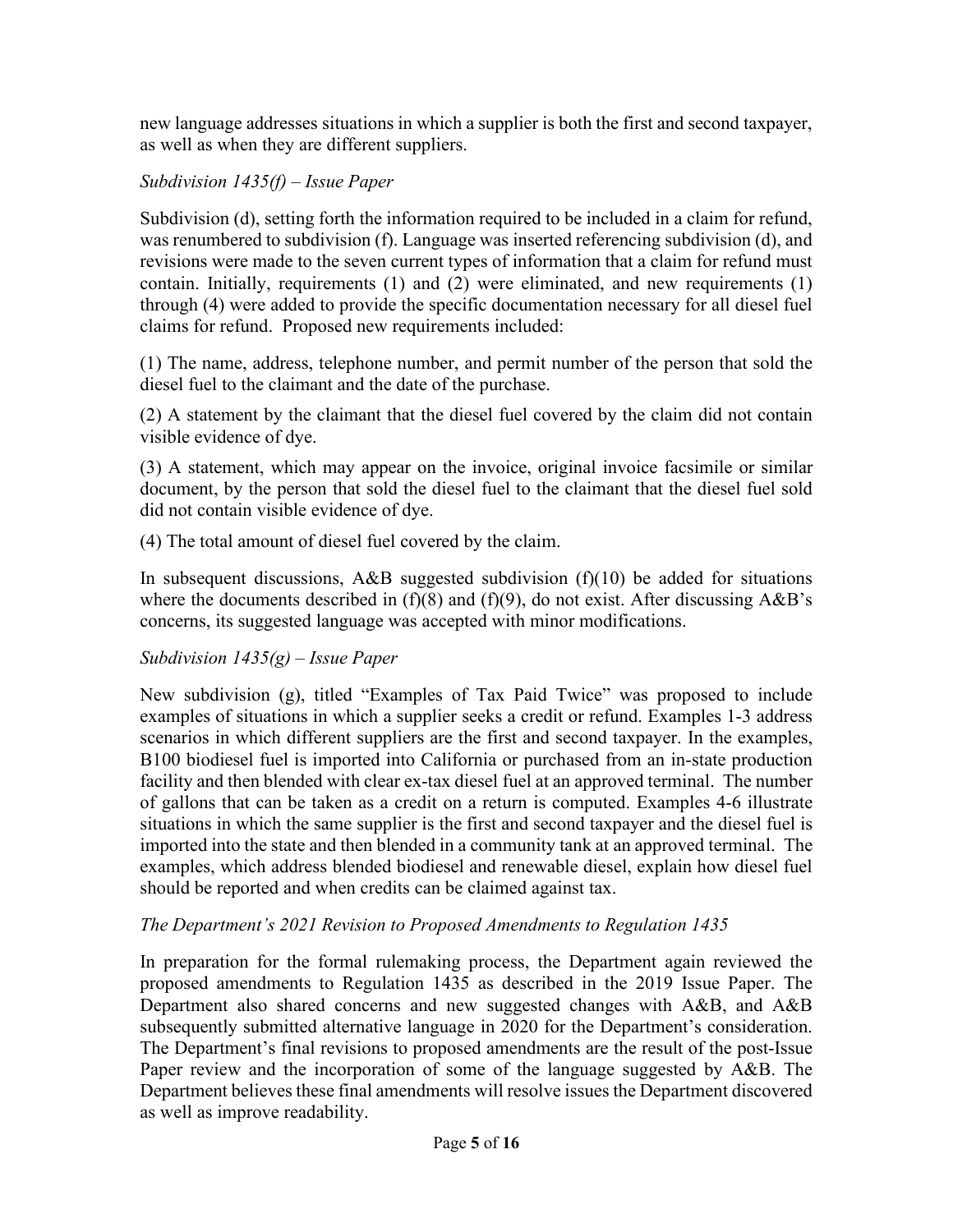new language addresses situations in which a supplier is both the first and second taxpayer, as well as when they are different suppliers.

# *Subdivision 1435(f) – Issue Paper*

Subdivision (d), setting forth the information required to be included in a claim for refund, was renumbered to subdivision (f). Language was inserted referencing subdivision (d), and revisions were made to the seven current types of information that a claim for refund must contain. Initially, requirements (1) and (2) were eliminated, and new requirements (1) through (4) were added to provide the specific documentation necessary for all diesel fuel claims for refund. Proposed new requirements included:

(1) The name, address, telephone number, and permit number of the person that sold the diesel fuel to the claimant and the date of the purchase.

(2) A statement by the claimant that the diesel fuel covered by the claim did not contain visible evidence of dye.

(3) A statement, which may appear on the invoice, original invoice facsimile or similar document, by the person that sold the diesel fuel to the claimant that the diesel fuel sold did not contain visible evidence of dye.

(4) The total amount of diesel fuel covered by the claim.

In subsequent discussions, A&B suggested subdivision  $(f)(10)$  be added for situations where the documents described in  $(f)(8)$  and  $(f)(9)$ , do not exist. After discussing A&B's concerns, its suggested language was accepted with minor modifications.

# *Subdivision 1435(g) – Issue Paper*

New subdivision (g), titled "Examples of Tax Paid Twice" was proposed to include examples of situations in which a supplier seeks a credit or refund. Examples 1-3 address scenarios in which different suppliers are the first and second taxpayer. In the examples, B100 biodiesel fuel is imported into California or purchased from an in-state production facility and then blended with clear ex-tax diesel fuel at an approved terminal. The number of gallons that can be taken as a credit on a return is computed. Examples 4-6 illustrate situations in which the same supplier is the first and second taxpayer and the diesel fuel is imported into the state and then blended in a community tank at an approved terminal. The examples, which address blended biodiesel and renewable diesel, explain how diesel fuel should be reported and when credits can be claimed against tax.

# *The Department's 2021 Revision to Proposed Amendments to Regulation 1435*

In preparation for the formal rulemaking process, the Department again reviewed the proposed amendments to Regulation 1435 as described in the 2019 Issue Paper. The Department also shared concerns and new suggested changes with A&B, and A&B subsequently submitted alternative language in 2020 for the Department's consideration. The Department's final revisions to proposed amendments are the result of the post-Issue Paper review and the incorporation of some of the language suggested by A&B. The Department believes these final amendments will resolve issues the Department discovered as well as improve readability.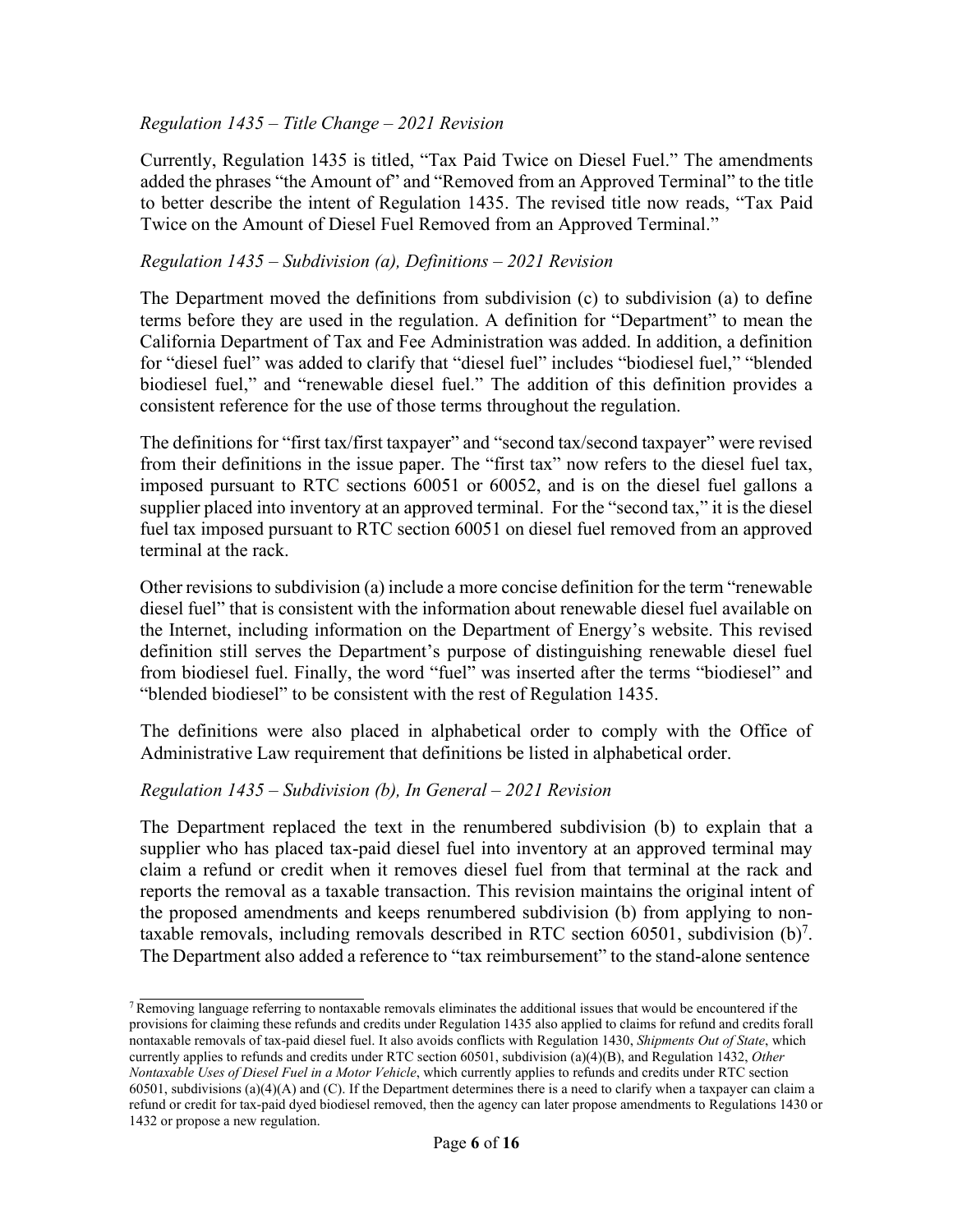### *Regulation 1435 – Title Change – 2021 Revision*

Currently, Regulation 1435 is titled, "Tax Paid Twice on Diesel Fuel." The amendments added the phrases "the Amount of" and "Removed from an Approved Terminal" to the title to better describe the intent of Regulation 1435. The revised title now reads, "Tax Paid Twice on the Amount of Diesel Fuel Removed from an Approved Terminal."

#### *Regulation 1435 – Subdivision (a), Definitions – 2021 Revision*

The Department moved the definitions from subdivision (c) to subdivision (a) to define terms before they are used in the regulation. A definition for "Department" to mean the California Department of Tax and Fee Administration was added. In addition, a definition for "diesel fuel" was added to clarify that "diesel fuel" includes "biodiesel fuel," "blended biodiesel fuel," and "renewable diesel fuel." The addition of this definition provides a consistent reference for the use of those terms throughout the regulation.

The definitions for "first tax/first taxpayer" and "second tax/second taxpayer" were revised from their definitions in the issue paper. The "first tax" now refers to the diesel fuel tax, imposed pursuant to RTC sections 60051 or 60052, and is on the diesel fuel gallons a supplier placed into inventory at an approved terminal. For the "second tax," it is the diesel fuel tax imposed pursuant to RTC section 60051 on diesel fuel removed from an approved terminal at the rack.

Other revisions to subdivision (a) include a more concise definition for the term "renewable diesel fuel" that is consistent with the information about renewable diesel fuel available on the Internet, including information on the Department of Energy's website. This revised definition still serves the Department's purpose of distinguishing renewable diesel fuel from biodiesel fuel. Finally, the word "fuel" was inserted after the terms "biodiesel" and "blended biodiesel" to be consistent with the rest of Regulation 1435.

The definitions were also placed in alphabetical order to comply with the Office of Administrative Law requirement that definitions be listed in alphabetical order.

### *Regulation 1435 – Subdivision (b), In General – 2021 Revision*

The Department replaced the text in the renumbered subdivision (b) to explain that a supplier who has placed tax-paid diesel fuel into inventory at an approved terminal may claim a refund or credit when it removes diesel fuel from that terminal at the rack and reports the removal as a taxable transaction. This revision maintains the original intent of the proposed amendments and keeps renumbered subdivision (b) from applying to nontaxable removals, including removals described in RTC section 60501, subdivision  $(b)^7$ . The Department also added a reference to "tax reimbursement" to the stand-alone sentence

 $7$  Removing language referring to nontaxable removals eliminates the additional issues that would be encountered if the provisions for claiming these refunds and credits under Regulation 1435 also applied to claims for refund and credits for all nontaxable removals of tax-paid diesel fuel. It also avoids conflicts with Regulation 1430, *Shipments Out of State*, which currently applies to refunds and credits under RTC section 60501, subdivision (a)(4)(B), and Regulation 1432, *Other Nontaxable Uses of Diesel Fuel in a Motor Vehicle*, which currently applies to refunds and credits under RTC section  $60501$ , subdivisions (a)(4)(A) and (C). If the Department determines there is a need to clarify when a taxpayer can claim a refund or credit for tax-paid dyed biodiesel removed, then the agency can later propose amendments to Regulations 1430 or 1432 or propose a new regulation.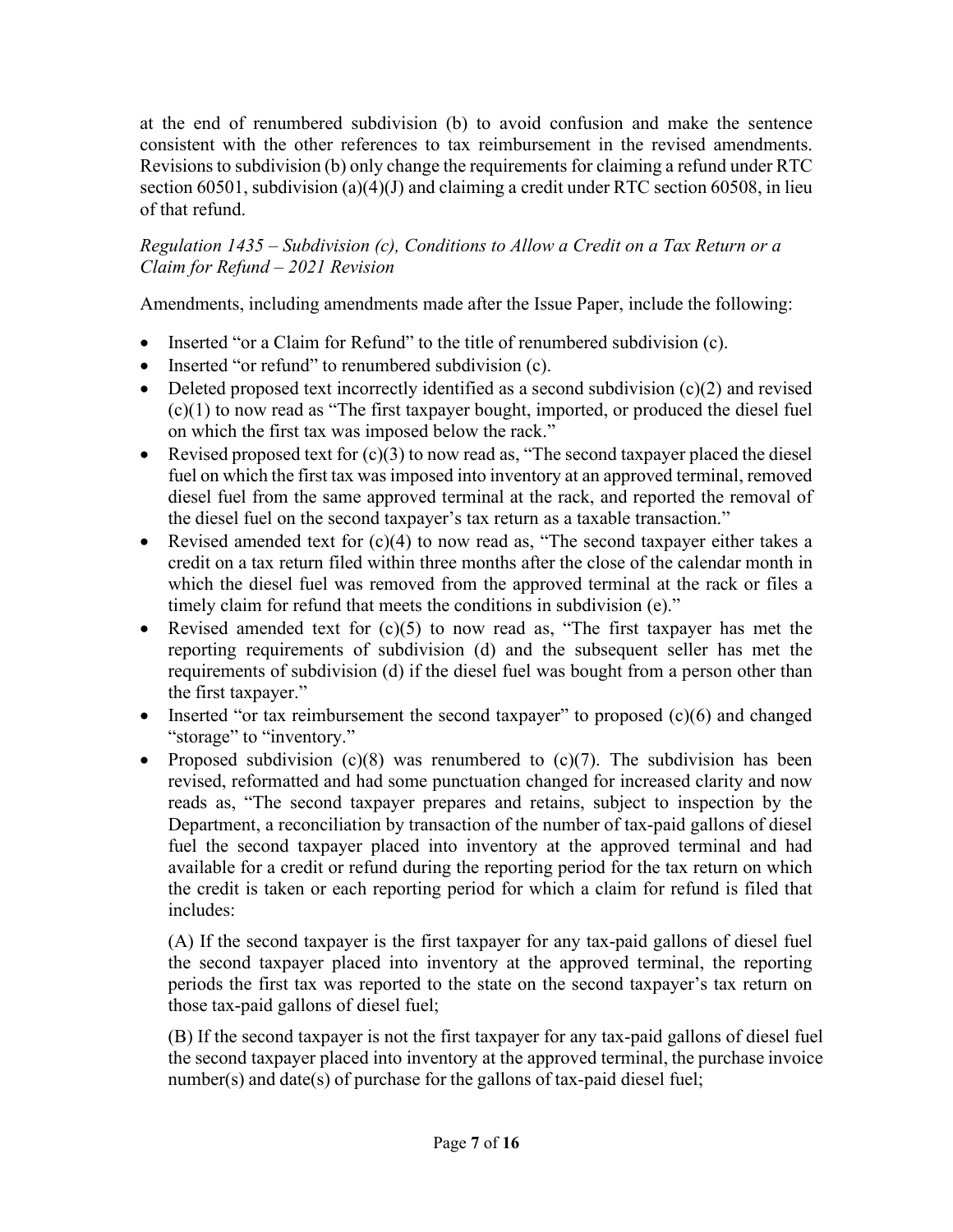at the end of renumbered subdivision (b) to avoid confusion and make the sentence consistent with the other references to tax reimbursement in the revised amendments. Revisionsto subdivision (b) only change the requirements for claiming a refund under RTC section 60501, subdivision (a)(4)(J) and claiming a credit under RTC section 60508, in lieu of that refund.

### *Regulation 1435 – Subdivision (c), Conditions to Allow a Credit on a Tax Return or a Claim for Refund – 2021 Revision*

Amendments, including amendments made after the Issue Paper, include the following:

- Inserted "or a Claim for Refund" to the title of renumbered subdivision (c).
- Inserted "or refund" to renumbered subdivision (c).
- Deleted proposed text incorrectly identified as a second subdivision  $(c)(2)$  and revised (c)(1) to now read as "The first taxpayer bought, imported, or produced the diesel fuel on which the first tax was imposed below the rack."
- Revised proposed text for  $(c)(3)$  to now read as, "The second taxpayer placed the diesel fuel on which the first tax was imposed into inventory at an approved terminal, removed diesel fuel from the same approved terminal at the rack, and reported the removal of the diesel fuel on the second taxpayer's tax return as a taxable transaction."
- Revised amended text for  $(c)(4)$  to now read as, "The second taxpayer either takes a credit on a tax return filed within three months after the close of the calendar month in which the diesel fuel was removed from the approved terminal at the rack or files a timely claim for refund that meets the conditions in subdivision (e)."
- Revised amended text for  $(c)(5)$  to now read as, "The first taxpayer has met the reporting requirements of subdivision (d) and the subsequent seller has met the requirements of subdivision (d) if the diesel fuel was bought from a person other than the first taxpayer."
- Inserted "or tax reimbursement the second taxpayer" to proposed (c)(6) and changed "storage" to "inventory."
- Proposed subdivision  $(c)(8)$  was renumbered to  $(c)(7)$ . The subdivision has been revised, reformatted and had some punctuation changed for increased clarity and now reads as, "The second taxpayer prepares and retains, subject to inspection by the Department, a reconciliation by transaction of the number of tax-paid gallons of diesel fuel the second taxpayer placed into inventory at the approved terminal and had available for a credit or refund during the reporting period for the tax return on which the credit is taken or each reporting period for which a claim for refund is filed that includes:

(A) If the second taxpayer is the first taxpayer for any tax-paid gallons of diesel fuel the second taxpayer placed into inventory at the approved terminal, the reporting periods the first tax was reported to the state on the second taxpayer's tax return on those tax-paid gallons of diesel fuel;

(B) If the second taxpayer is not the first taxpayer for any tax-paid gallons of diesel fuel the second taxpayer placed into inventory at the approved terminal, the purchase invoice  $number(s)$  and date(s) of purchase for the gallons of tax-paid diesel fuel;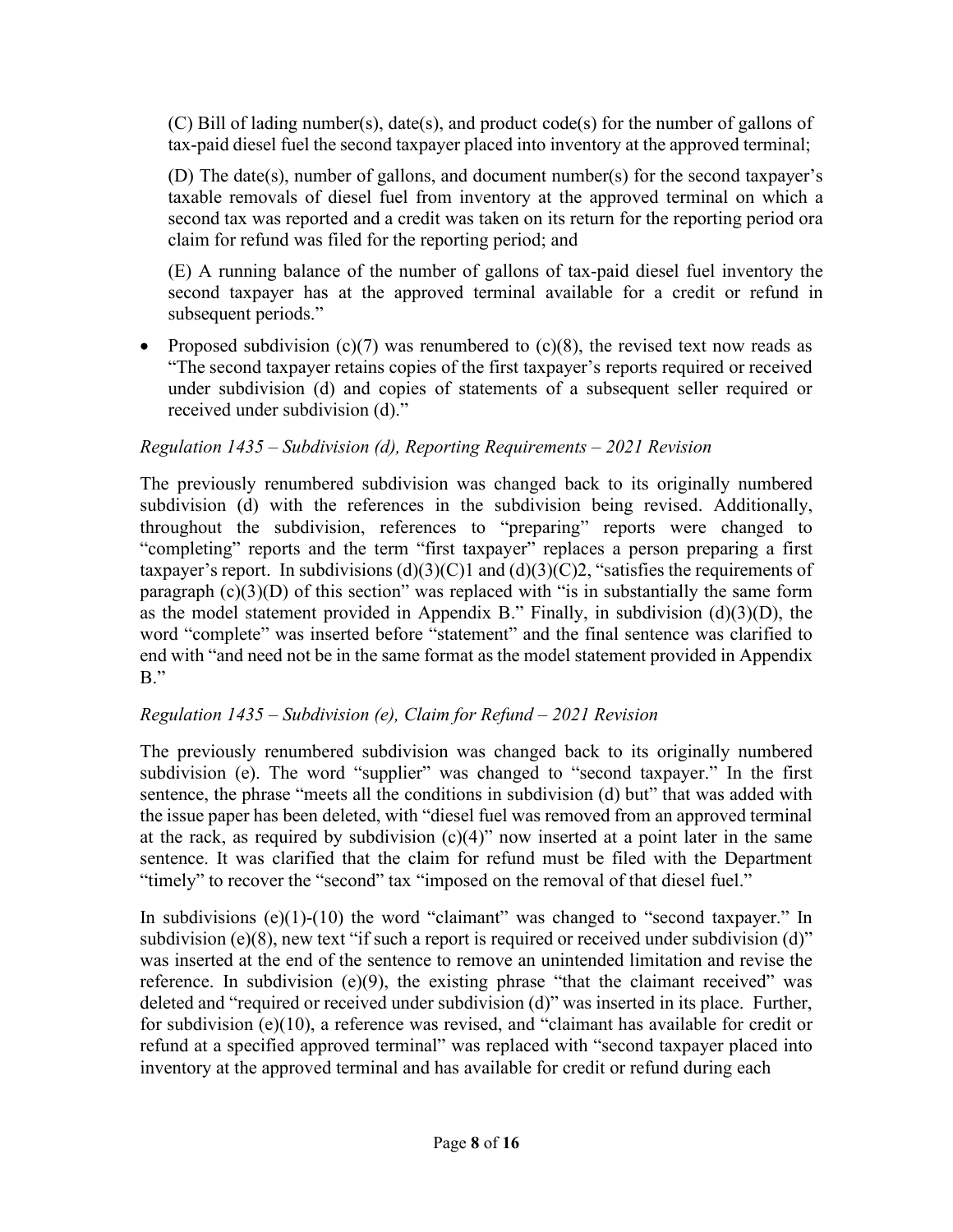(C) Bill of lading number(s), date(s), and product code(s) for the number of gallons of tax-paid diesel fuel the second taxpayer placed into inventory at the approved terminal;

(D) The date(s), number of gallons, and document number(s) for the second taxpayer's taxable removals of diesel fuel from inventory at the approved terminal on which a second tax was reported and a credit was taken on its return for the reporting period or a claim for refund was filed for the reporting period; and

(E) A running balance of the number of gallons of tax-paid diesel fuel inventory the second taxpayer has at the approved terminal available for a credit or refund in subsequent periods."

• Proposed subdivision  $(c)(7)$  was renumbered to  $(c)(8)$ , the revised text now reads as "The second taxpayer retains copies of the first taxpayer's reports required or received under subdivision (d) and copies of statements of a subsequent seller required or received under subdivision (d)."

# *Regulation 1435 – Subdivision (d), Reporting Requirements – 2021 Revision*

The previously renumbered subdivision was changed back to its originally numbered subdivision (d) with the references in the subdivision being revised. Additionally, throughout the subdivision, references to "preparing" reports were changed to "completing" reports and the term "first taxpayer" replaces a person preparing a first taxpayer's report. In subdivisions  $(d)(3)(C)1$  and  $(d)(3)(C)2$ , "satisfies the requirements of paragraph  $(c)(3)(D)$  of this section" was replaced with "is in substantially the same form as the model statement provided in Appendix B." Finally, in subdivision  $(d)(3)(D)$ , the word "complete" was inserted before "statement" and the final sentence was clarified to end with "and need not be in the same format as the model statement provided in Appendix B."

# *Regulation 1435 – Subdivision (e), Claim for Refund – 2021 Revision*

The previously renumbered subdivision was changed back to its originally numbered subdivision (e). The word "supplier" was changed to "second taxpayer." In the first sentence, the phrase "meets all the conditions in subdivision (d) but" that was added with the issue paper has been deleted, with "diesel fuel was removed from an approved terminal at the rack, as required by subdivision  $(c)(4)$ " now inserted at a point later in the same sentence. It was clarified that the claim for refund must be filed with the Department "timely" to recover the "second" tax "imposed on the removal of that diesel fuel."

In subdivisions  $(e)(1)-(10)$  the word "claimant" was changed to "second taxpayer." In subdivision (e) $(8)$ , new text "if such a report is required or received under subdivision (d)" was inserted at the end of the sentence to remove an unintended limitation and revise the reference. In subdivision  $(e)(9)$ , the existing phrase "that the claimant received" was deleted and "required or received under subdivision (d)" was inserted in its place. Further, for subdivision (e)(10), a reference was revised, and "claimant has available for credit or refund at a specified approved terminal" was replaced with "second taxpayer placed into inventory at the approved terminal and has available for credit or refund during each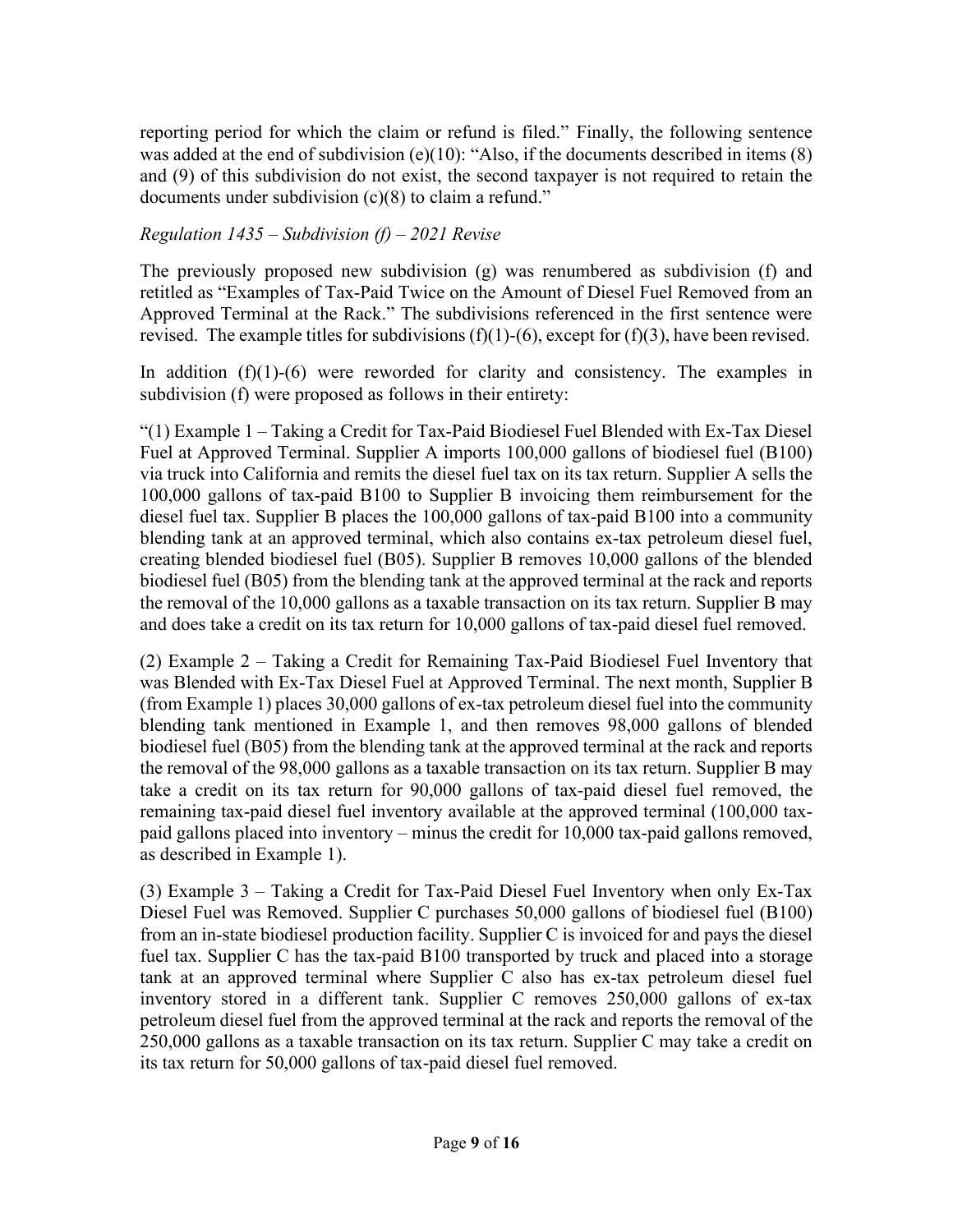reporting period for which the claim or refund is filed." Finally, the following sentence was added at the end of subdivision (e)(10): "Also, if the documents described in items (8) and (9) of this subdivision do not exist, the second taxpayer is not required to retain the documents under subdivision (c)(8) to claim a refund."

# *Regulation 1435 – Subdivision (f) – 2021 Revise*

The previously proposed new subdivision (g) was renumbered as subdivision (f) and retitled as "Examples of Tax-Paid Twice on the Amount of Diesel Fuel Removed from an Approved Terminal at the Rack." The subdivisions referenced in the first sentence were revised. The example titles for subdivisions  $(f)(1)-(6)$ , except for  $(f)(3)$ , have been revised.

In addition  $(f)(1)-(6)$  were reworded for clarity and consistency. The examples in subdivision (f) were proposed as follows in their entirety:

"(1) Example 1 – Taking a Credit for Tax-Paid Biodiesel Fuel Blended with Ex-Tax Diesel Fuel at Approved Terminal. Supplier A imports 100,000 gallons of biodiesel fuel (B100) via truck into California and remits the diesel fuel tax on its tax return. Supplier A sells the 100,000 gallons of tax-paid B100 to Supplier B invoicing them reimbursement for the diesel fuel tax. Supplier B places the 100,000 gallons of tax-paid B100 into a community blending tank at an approved terminal, which also contains ex-tax petroleum diesel fuel, creating blended biodiesel fuel (B05). Supplier B removes 10,000 gallons of the blended biodiesel fuel (B05) from the blending tank at the approved terminal at the rack and reports the removal of the 10,000 gallons as a taxable transaction on its tax return. Supplier B may and does take a credit on its tax return for 10,000 gallons of tax-paid diesel fuel removed.

(2) Example 2 – Taking a Credit for Remaining Tax-Paid Biodiesel Fuel Inventory that was Blended with Ex-Tax Diesel Fuel at Approved Terminal. The next month, Supplier B (from Example 1) places 30,000 gallons of ex-tax petroleum diesel fuel into the community blending tank mentioned in Example 1, and then removes 98,000 gallons of blended biodiesel fuel (B05) from the blending tank at the approved terminal at the rack and reports the removal of the 98,000 gallons as a taxable transaction on its tax return. Supplier B may take a credit on its tax return for 90,000 gallons of tax-paid diesel fuel removed, the remaining tax-paid diesel fuel inventory available at the approved terminal (100,000 taxpaid gallons placed into inventory – minus the credit for 10,000 tax-paid gallons removed, as described in Example 1).

(3) Example 3 – Taking a Credit for Tax-Paid Diesel Fuel Inventory when only Ex-Tax Diesel Fuel was Removed. Supplier C purchases 50,000 gallons of biodiesel fuel (B100) from an in-state biodiesel production facility. Supplier C is invoiced for and pays the diesel fuel tax. Supplier C has the tax-paid B100 transported by truck and placed into a storage tank at an approved terminal where Supplier C also has ex-tax petroleum diesel fuel inventory stored in a different tank. Supplier C removes 250,000 gallons of ex-tax petroleum diesel fuel from the approved terminal at the rack and reports the removal of the 250,000 gallons as a taxable transaction on its tax return. Supplier C may take a credit on its tax return for 50,000 gallons of tax-paid diesel fuel removed.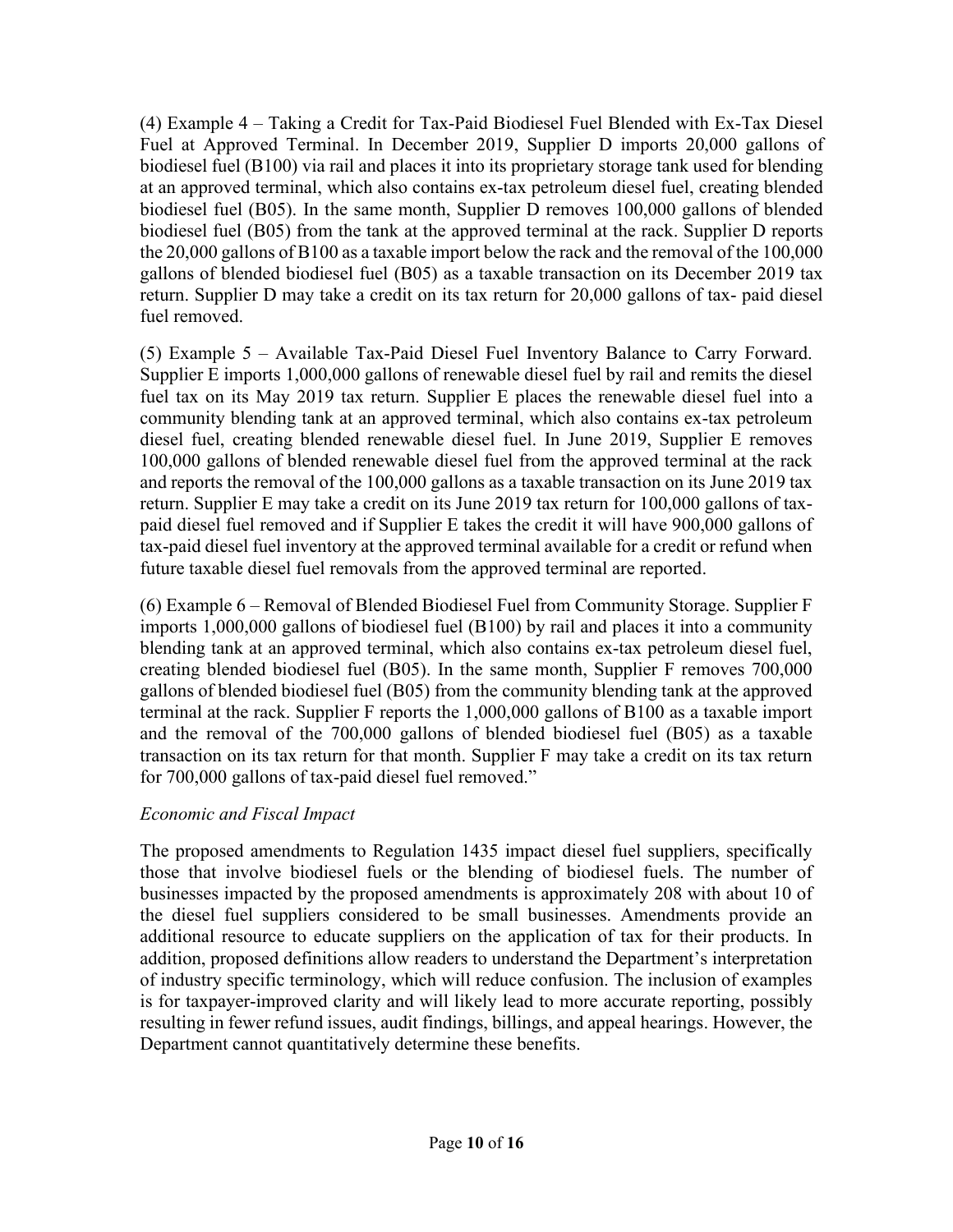(4) Example 4 – Taking a Credit for Tax-Paid Biodiesel Fuel Blended with Ex-Tax Diesel Fuel at Approved Terminal. In December 2019, Supplier D imports 20,000 gallons of biodiesel fuel (B100) via rail and places it into its proprietary storage tank used for blending at an approved terminal, which also contains ex-tax petroleum diesel fuel, creating blended biodiesel fuel (B05). In the same month, Supplier D removes 100,000 gallons of blended biodiesel fuel (B05) from the tank at the approved terminal at the rack. Supplier D reports the 20,000 gallons of B100 as a taxable import below the rack and the removal of the 100,000 gallons of blended biodiesel fuel (B05) as a taxable transaction on its December 2019 tax return. Supplier D may take a credit on its tax return for 20,000 gallons of tax- paid diesel fuel removed.

(5) Example 5 – Available Tax-Paid Diesel Fuel Inventory Balance to Carry Forward. Supplier E imports 1,000,000 gallons of renewable diesel fuel by rail and remits the diesel fuel tax on its May 2019 tax return. Supplier E places the renewable diesel fuel into a community blending tank at an approved terminal, which also contains ex-tax petroleum diesel fuel, creating blended renewable diesel fuel. In June 2019, Supplier E removes 100,000 gallons of blended renewable diesel fuel from the approved terminal at the rack and reports the removal of the 100,000 gallons as a taxable transaction on its June 2019 tax return. Supplier E may take a credit on its June 2019 tax return for 100,000 gallons of taxpaid diesel fuel removed and if Supplier E takes the credit it will have 900,000 gallons of tax-paid diesel fuel inventory at the approved terminal available for a credit or refund when future taxable diesel fuel removals from the approved terminal are reported.

(6) Example 6 – Removal of Blended Biodiesel Fuel from Community Storage. Supplier F imports 1,000,000 gallons of biodiesel fuel (B100) by rail and places it into a community blending tank at an approved terminal, which also contains ex-tax petroleum diesel fuel, creating blended biodiesel fuel (B05). In the same month, Supplier F removes 700,000 gallons of blended biodiesel fuel (B05) from the community blending tank at the approved terminal at the rack. Supplier F reports the 1,000,000 gallons of B100 as a taxable import and the removal of the 700,000 gallons of blended biodiesel fuel (B05) as a taxable transaction on its tax return for that month. Supplier F may take a credit on its tax return for 700,000 gallons of tax-paid diesel fuel removed."

### *Economic and Fiscal Impact*

The proposed amendments to Regulation 1435 impact diesel fuel suppliers, specifically those that involve biodiesel fuels or the blending of biodiesel fuels. The number of businesses impacted by the proposed amendments is approximately 208 with about 10 of the diesel fuel suppliers considered to be small businesses. Amendments provide an additional resource to educate suppliers on the application of tax for their products. In addition, proposed definitions allow readers to understand the Department's interpretation of industry specific terminology, which will reduce confusion. The inclusion of examples is for taxpayer-improved clarity and will likely lead to more accurate reporting, possibly resulting in fewer refund issues, audit findings, billings, and appeal hearings. However, the Department cannot quantitatively determine these benefits.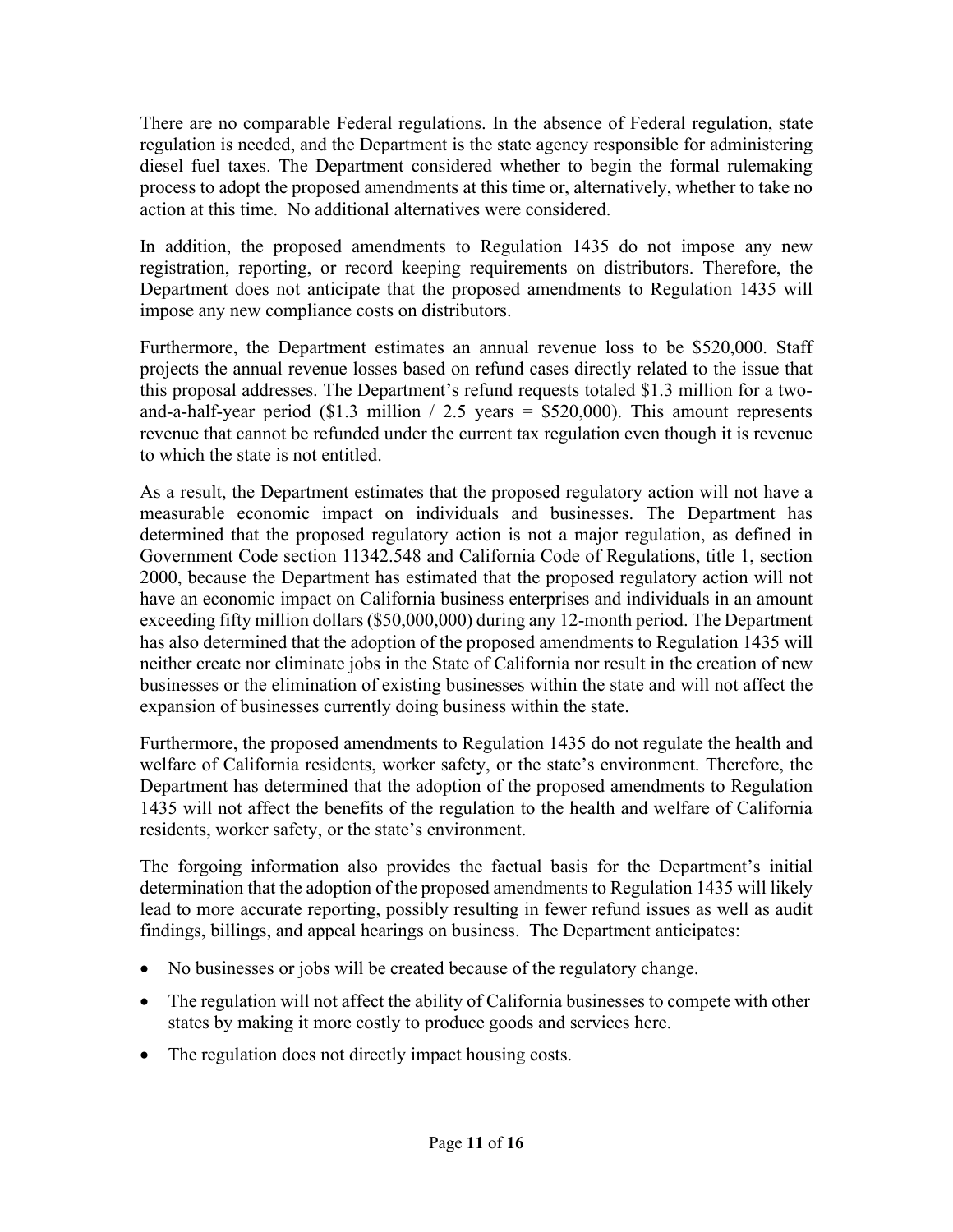There are no comparable Federal regulations. In the absence of Federal regulation, state regulation is needed, and the Department is the state agency responsible for administering diesel fuel taxes. The Department considered whether to begin the formal rulemaking process to adopt the proposed amendments at this time or, alternatively, whether to take no action at this time. No additional alternatives were considered.

In addition, the proposed amendments to Regulation 1435 do not impose any new registration, reporting, or record keeping requirements on distributors. Therefore, the Department does not anticipate that the proposed amendments to Regulation 1435 will impose any new compliance costs on distributors.

Furthermore, the Department estimates an annual revenue loss to be \$520,000. Staff projects the annual revenue losses based on refund cases directly related to the issue that this proposal addresses. The Department's refund requests totaled \$1.3 million for a twoand-a-half-year period (\$1.3 million / 2.5 years = \$520,000). This amount represents revenue that cannot be refunded under the current tax regulation even though it is revenue to which the state is not entitled.

As a result, the Department estimates that the proposed regulatory action will not have a measurable economic impact on individuals and businesses. The Department has determined that the proposed regulatory action is not a major regulation, as defined in Government Code section 11342.548 and California Code of Regulations, title 1, section 2000, because the Department has estimated that the proposed regulatory action will not have an economic impact on California business enterprises and individuals in an amount exceeding fifty million dollars (\$50,000,000) during any 12-month period. The Department has also determined that the adoption of the proposed amendments to Regulation 1435 will neither create nor eliminate jobs in the State of California nor result in the creation of new businesses or the elimination of existing businesses within the state and will not affect the expansion of businesses currently doing business within the state.

Furthermore, the proposed amendments to Regulation 1435 do not regulate the health and welfare of California residents, worker safety, or the state's environment. Therefore, the Department has determined that the adoption of the proposed amendments to Regulation 1435 will not affect the benefits of the regulation to the health and welfare of California residents, worker safety, or the state's environment.

The forgoing information also provides the factual basis for the Department's initial determination that the adoption of the proposed amendments to Regulation 1435 will likely lead to more accurate reporting, possibly resulting in fewer refund issues as well as audit findings, billings, and appeal hearings on business. The Department anticipates:

- No businesses or jobs will be created because of the regulatory change.
- The regulation will not affect the ability of California businesses to compete with other states by making it more costly to produce goods and services here.
- The regulation does not directly impact housing costs.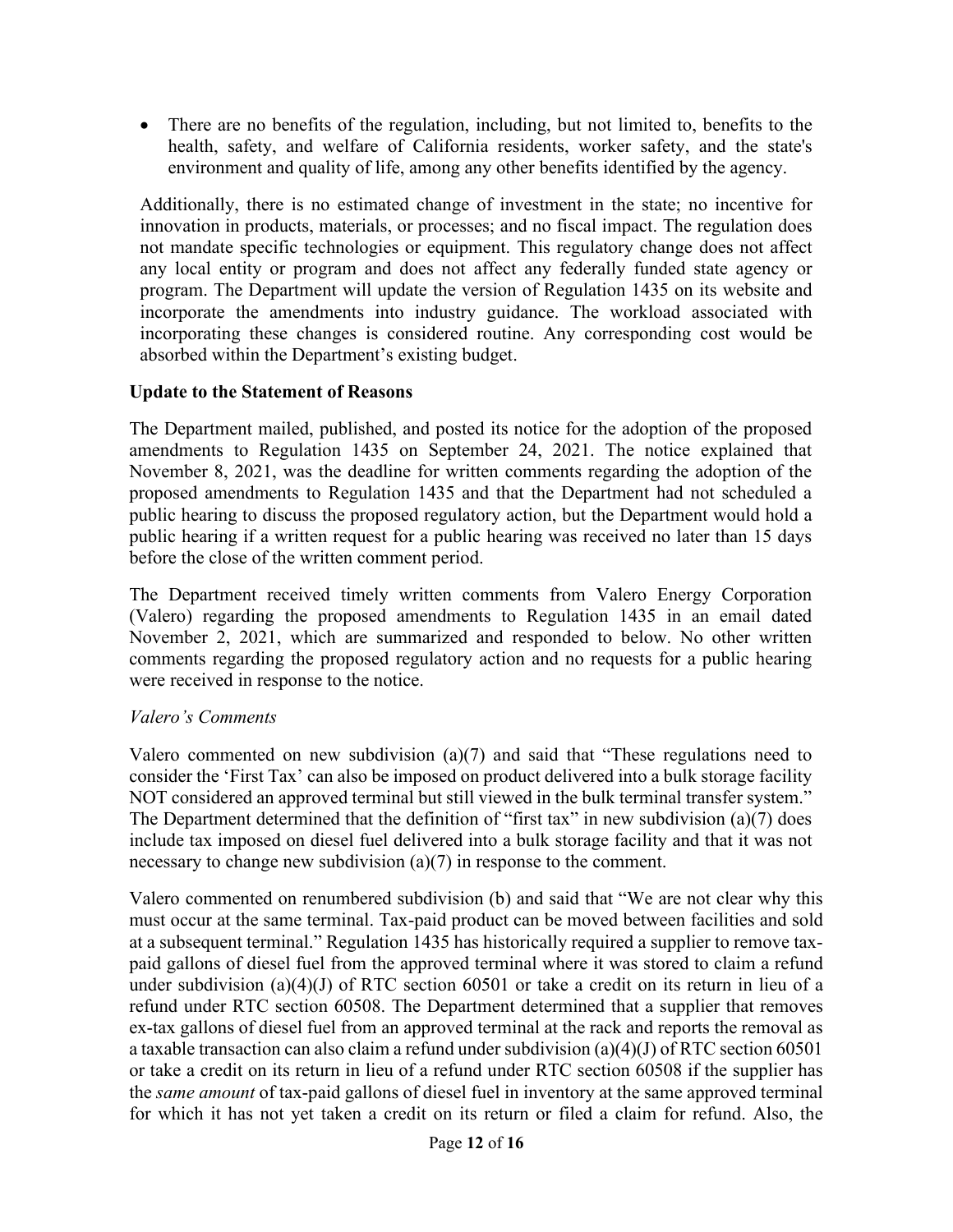• There are no benefits of the regulation, including, but not limited to, benefits to the health, safety, and welfare of California residents, worker safety, and the state's environment and quality of life, among any other benefits identified by the agency.

Additionally, there is no estimated change of investment in the state; no incentive for innovation in products, materials, or processes; and no fiscal impact. The regulation does not mandate specific technologies or equipment. This regulatory change does not affect any local entity or program and does not affect any federally funded state agency or program. The Department will update the version of Regulation 1435 on its website and incorporate the amendments into industry guidance. The workload associated with incorporating these changes is considered routine. Any corresponding cost would be absorbed within the Department's existing budget.

### **Update to the Statement of Reasons**

The Department mailed, published, and posted its notice for the adoption of the proposed amendments to Regulation 1435 on September 24, 2021. The notice explained that November 8, 2021, was the deadline for written comments regarding the adoption of the proposed amendments to Regulation 1435 and that the Department had not scheduled a public hearing to discuss the proposed regulatory action, but the Department would hold a public hearing if a written request for a public hearing was received no later than 15 days before the close of the written comment period.

The Department received timely written comments from Valero Energy Corporation (Valero) regarding the proposed amendments to Regulation 1435 in an email dated November 2, 2021, which are summarized and responded to below. No other written comments regarding the proposed regulatory action and no requests for a public hearing were received in response to the notice.

# *Valero's Comments*

Valero commented on new subdivision (a)(7) and said that "These regulations need to consider the 'First Tax' can also be imposed on product delivered into a bulk storage facility NOT considered an approved terminal but still viewed in the bulk terminal transfer system." The Department determined that the definition of "first tax" in new subdivision (a)(7) does include tax imposed on diesel fuel delivered into a bulk storage facility and that it was not necessary to change new subdivision (a)(7) in response to the comment.

Valero commented on renumbered subdivision (b) and said that "We are not clear why this must occur at the same terminal. Tax-paid product can be moved between facilities and sold at a subsequent terminal." Regulation 1435 has historically required a supplier to remove taxpaid gallons of diesel fuel from the approved terminal where it was stored to claim a refund under subdivision (a)(4)(J) of RTC section 60501 or take a credit on its return in lieu of a refund under RTC section 60508. The Department determined that a supplier that removes ex-tax gallons of diesel fuel from an approved terminal at the rack and reports the removal as a taxable transaction can also claim a refund under subdivision (a)(4)(J) of RTC section 60501 or take a credit on its return in lieu of a refund under RTC section 60508 if the supplier has the *same amount* of tax-paid gallons of diesel fuel in inventory at the same approved terminal for which it has not yet taken a credit on its return or filed a claim for refund. Also, the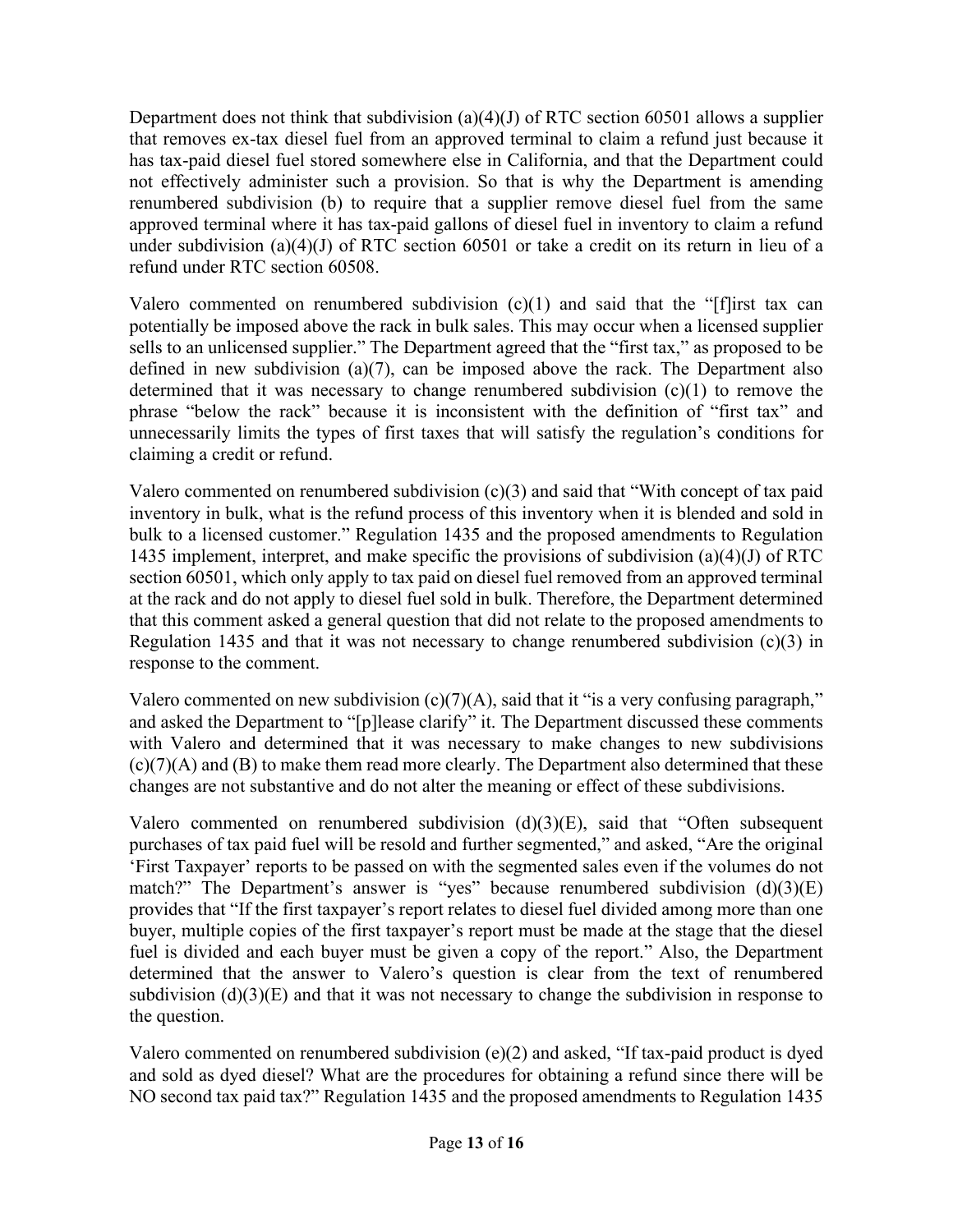Department does not think that subdivision  $(a)(4)(J)$  of RTC section 60501 allows a supplier that removes ex-tax diesel fuel from an approved terminal to claim a refund just because it has tax-paid diesel fuel stored somewhere else in California, and that the Department could not effectively administer such a provision. So that is why the Department is amending renumbered subdivision (b) to require that a supplier remove diesel fuel from the same approved terminal where it has tax-paid gallons of diesel fuel in inventory to claim a refund under subdivision (a)(4)(J) of RTC section 60501 or take a credit on its return in lieu of a refund under RTC section 60508.

Valero commented on renumbered subdivision  $(c)(1)$  and said that the "[f]irst tax can potentially be imposed above the rack in bulk sales. This may occur when a licensed supplier sells to an unlicensed supplier." The Department agreed that the "first tax," as proposed to be defined in new subdivision (a)(7), can be imposed above the rack. The Department also determined that it was necessary to change renumbered subdivision (c)(1) to remove the phrase "below the rack" because it is inconsistent with the definition of "first tax" and unnecessarily limits the types of first taxes that will satisfy the regulation's conditions for claiming a credit or refund.

Valero commented on renumbered subdivision (c)(3) and said that "With concept of tax paid inventory in bulk, what is the refund process of this inventory when it is blended and sold in bulk to a licensed customer." Regulation 1435 and the proposed amendments to Regulation 1435 implement, interpret, and make specific the provisions of subdivision (a)(4)(J) of RTC section 60501, which only apply to tax paid on diesel fuel removed from an approved terminal at the rack and do not apply to diesel fuel sold in bulk. Therefore, the Department determined that this comment asked a general question that did not relate to the proposed amendments to Regulation 1435 and that it was not necessary to change renumbered subdivision  $(c)(3)$  in response to the comment.

Valero commented on new subdivision  $(c)(7)(A)$ , said that it "is a very confusing paragraph," and asked the Department to "[p]lease clarify" it. The Department discussed these comments with Valero and determined that it was necessary to make changes to new subdivisions  $(c)(7)(A)$  and  $(B)$  to make them read more clearly. The Department also determined that these changes are not substantive and do not alter the meaning or effect of these subdivisions.

Valero commented on renumbered subdivision  $(d)(3)(E)$ , said that "Often subsequent purchases of tax paid fuel will be resold and further segmented," and asked, "Are the original 'First Taxpayer' reports to be passed on with the segmented sales even if the volumes do not match?" The Department's answer is "yes" because renumbered subdivision (d)(3)(E) provides that "If the first taxpayer's report relates to diesel fuel divided among more than one buyer, multiple copies of the first taxpayer's report must be made at the stage that the diesel fuel is divided and each buyer must be given a copy of the report." Also, the Department determined that the answer to Valero's question is clear from the text of renumbered subdivision  $(d)(3)(E)$  and that it was not necessary to change the subdivision in response to the question.

Valero commented on renumbered subdivision (e)(2) and asked, "If tax-paid product is dyed and sold as dyed diesel? What are the procedures for obtaining a refund since there will be NO second tax paid tax?" Regulation 1435 and the proposed amendments to Regulation 1435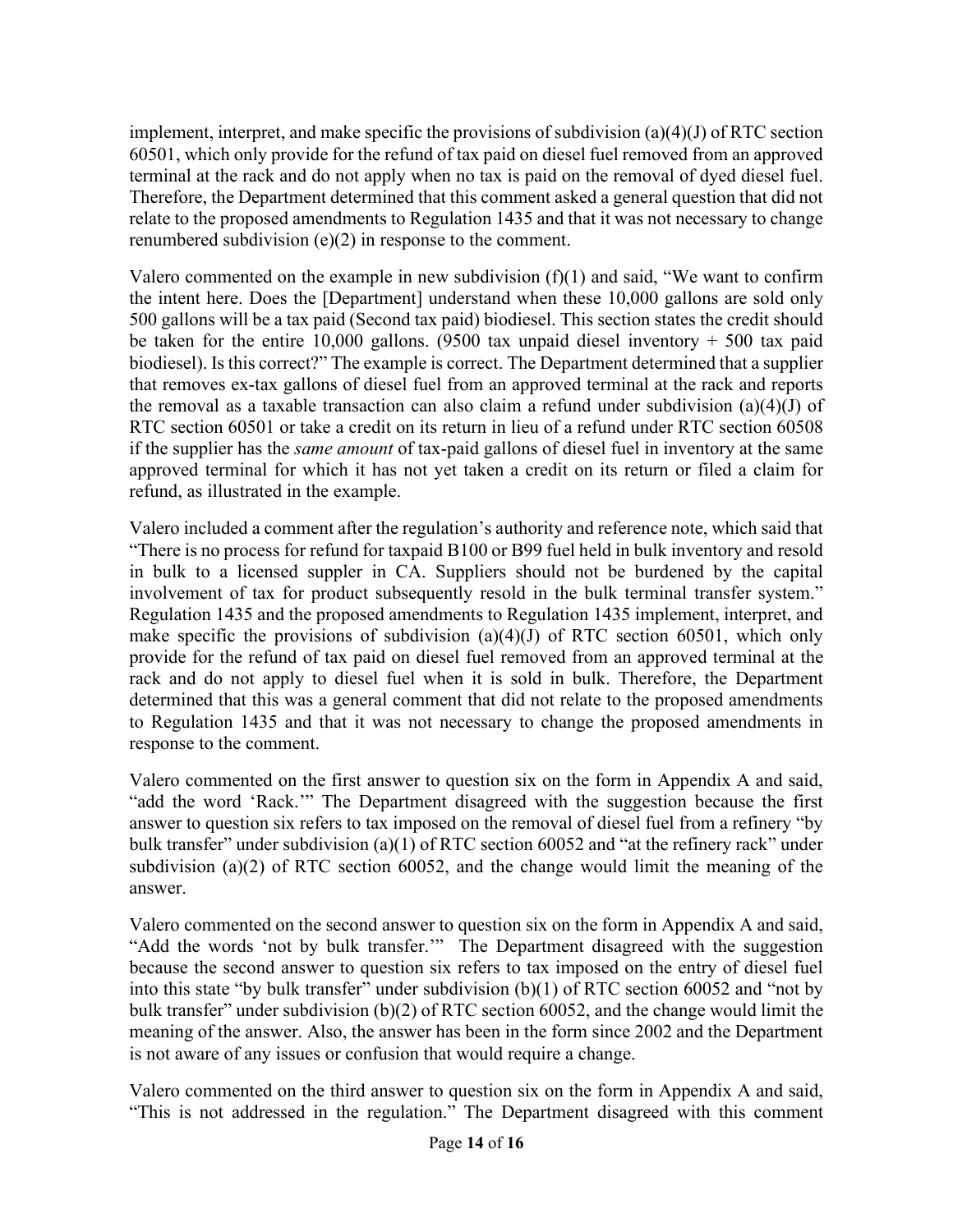implement, interpret, and make specific the provisions of subdivision  $(a)(4)(J)$  of RTC section 60501, which only provide for the refund of tax paid on diesel fuel removed from an approved terminal at the rack and do not apply when no tax is paid on the removal of dyed diesel fuel. Therefore, the Department determined that this comment asked a general question that did not relate to the proposed amendments to Regulation 1435 and that it was not necessary to change renumbered subdivision (e)(2) in response to the comment.

Valero commented on the example in new subdivision  $(f)(1)$  and said, "We want to confirm the intent here. Does the [Department] understand when these 10,000 gallons are sold only 500 gallons will be a tax paid (Second tax paid) biodiesel. This section states the credit should be taken for the entire 10,000 gallons. (9500 tax unpaid diesel inventory  $+$  500 tax paid biodiesel). Is this correct?" The example is correct. The Department determined that a supplier that removes ex-tax gallons of diesel fuel from an approved terminal at the rack and reports the removal as a taxable transaction can also claim a refund under subdivision (a)(4)(J) of RTC section 60501 or take a credit on its return in lieu of a refund under RTC section 60508 if the supplier has the *same amount* of tax-paid gallons of diesel fuel in inventory at the same approved terminal for which it has not yet taken a credit on its return or filed a claim for refund, as illustrated in the example.

Valero included a comment after the regulation's authority and reference note, which said that "There is no process for refund for taxpaid B100 or B99 fuel held in bulk inventory and resold in bulk to a licensed suppler in CA. Suppliers should not be burdened by the capital involvement of tax for product subsequently resold in the bulk terminal transfer system." Regulation 1435 and the proposed amendments to Regulation 1435 implement, interpret, and make specific the provisions of subdivision  $(a)(4)(J)$  of RTC section 60501, which only provide for the refund of tax paid on diesel fuel removed from an approved terminal at the rack and do not apply to diesel fuel when it is sold in bulk. Therefore, the Department determined that this was a general comment that did not relate to the proposed amendments to Regulation 1435 and that it was not necessary to change the proposed amendments in response to the comment.

Valero commented on the first answer to question six on the form in Appendix A and said, "add the word 'Rack.'" The Department disagreed with the suggestion because the first answer to question six refers to tax imposed on the removal of diesel fuel from a refinery "by bulk transfer" under subdivision (a)(1) of RTC section 60052 and "at the refinery rack" under subdivision (a)(2) of RTC section 60052, and the change would limit the meaning of the answer.

Valero commented on the second answer to question six on the form in Appendix A and said, "Add the words 'not by bulk transfer.'" The Department disagreed with the suggestion because the second answer to question six refers to tax imposed on the entry of diesel fuel into this state "by bulk transfer" under subdivision (b)(1) of RTC section 60052 and "not by bulk transfer" under subdivision (b)(2) of RTC section 60052, and the change would limit the meaning of the answer. Also, the answer has been in the form since 2002 and the Department is not aware of any issues or confusion that would require a change.

Valero commented on the third answer to question six on the form in Appendix A and said, "This is not addressed in the regulation." The Department disagreed with this comment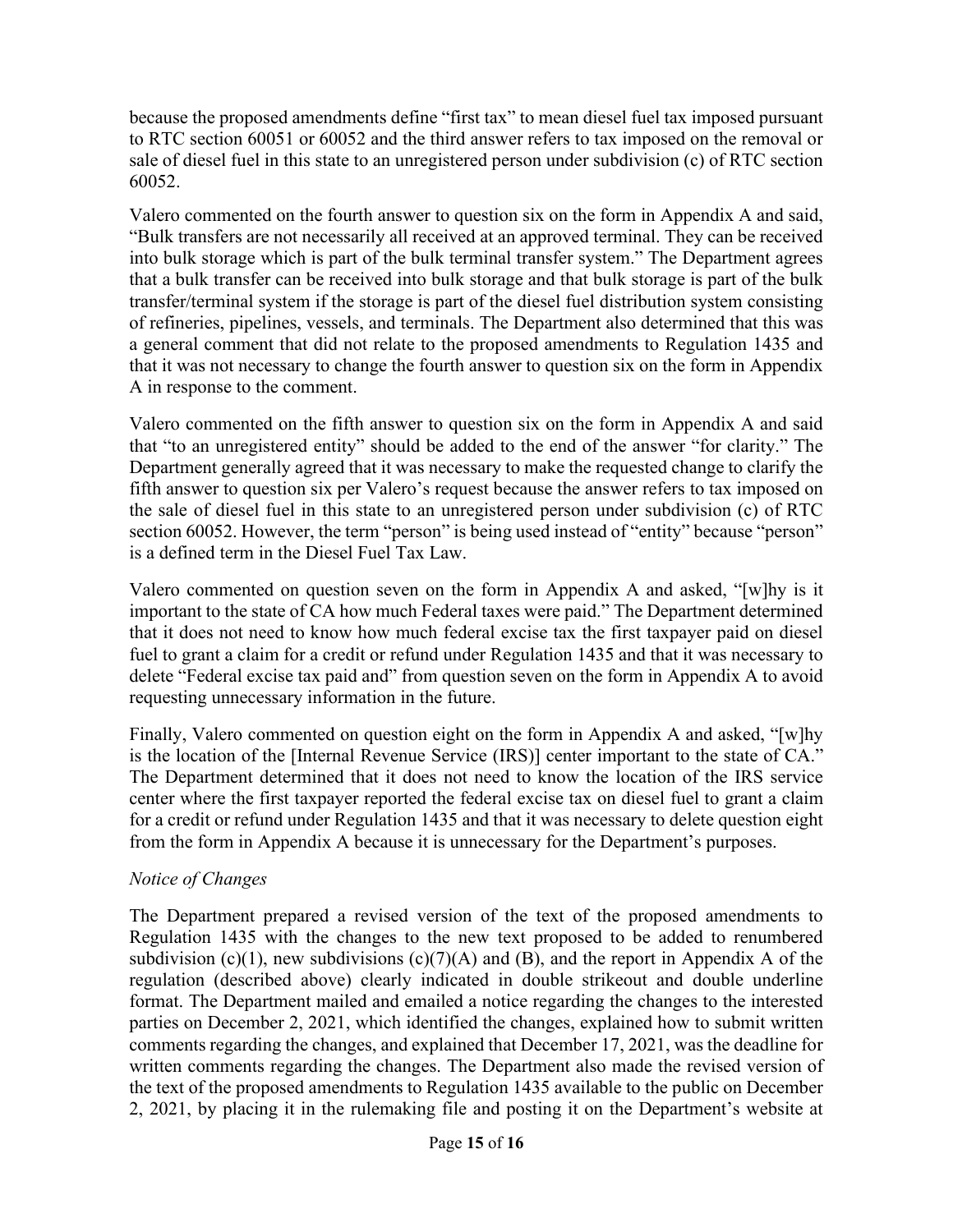because the proposed amendments define "first tax" to mean diesel fuel tax imposed pursuant to RTC section 60051 or 60052 and the third answer refers to tax imposed on the removal or sale of diesel fuel in this state to an unregistered person under subdivision (c) of RTC section 60052.

Valero commented on the fourth answer to question six on the form in Appendix A and said, "Bulk transfers are not necessarily all received at an approved terminal. They can be received into bulk storage which is part of the bulk terminal transfer system." The Department agrees that a bulk transfer can be received into bulk storage and that bulk storage is part of the bulk transfer/terminal system if the storage is part of the diesel fuel distribution system consisting of refineries, pipelines, vessels, and terminals. The Department also determined that this was a general comment that did not relate to the proposed amendments to Regulation 1435 and that it was not necessary to change the fourth answer to question six on the form in Appendix A in response to the comment.

Valero commented on the fifth answer to question six on the form in Appendix A and said that "to an unregistered entity" should be added to the end of the answer "for clarity." The Department generally agreed that it was necessary to make the requested change to clarify the fifth answer to question six per Valero's request because the answer refers to tax imposed on the sale of diesel fuel in this state to an unregistered person under subdivision (c) of RTC section 60052. However, the term "person" is being used instead of "entity" because "person" is a defined term in the Diesel Fuel Tax Law.

Valero commented on question seven on the form in Appendix A and asked, "[w]hy is it important to the state of CA how much Federal taxes were paid." The Department determined that it does not need to know how much federal excise tax the first taxpayer paid on diesel fuel to grant a claim for a credit or refund under Regulation 1435 and that it was necessary to delete "Federal excise tax paid and" from question seven on the form in Appendix A to avoid requesting unnecessary information in the future.

Finally, Valero commented on question eight on the form in Appendix A and asked, "[w]hy is the location of the [Internal Revenue Service (IRS)] center important to the state of CA." The Department determined that it does not need to know the location of the IRS service center where the first taxpayer reported the federal excise tax on diesel fuel to grant a claim for a credit or refund under Regulation 1435 and that it was necessary to delete question eight from the form in Appendix A because it is unnecessary for the Department's purposes.

# *Notice of Changes*

The Department prepared a revised version of the text of the proposed amendments to Regulation 1435 with the changes to the new text proposed to be added to renumbered subdivision (c)(1), new subdivisions (c)(7)(A) and (B), and the report in Appendix A of the regulation (described above) clearly indicated in double strikeout and double underline format. The Department mailed and emailed a notice regarding the changes to the interested parties on December 2, 2021, which identified the changes, explained how to submit written comments regarding the changes, and explained that December 17, 2021, was the deadline for written comments regarding the changes. The Department also made the revised version of the text of the proposed amendments to Regulation 1435 available to the public on December 2, 2021, by placing it in the rulemaking file and posting it on the Department's website at